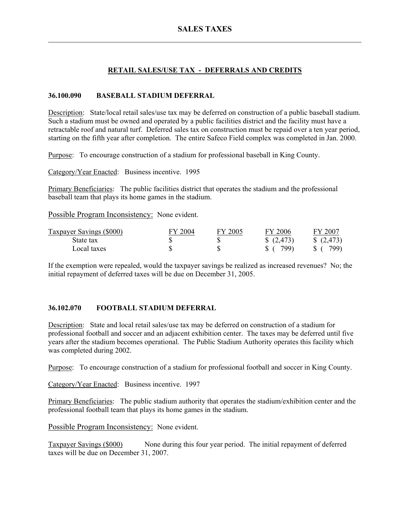## **RETAIL SALES/USE TAX - DEFERRALS AND CREDITS**

### **36.100.090 BASEBALL STADIUM DEFERRAL**

Description: State/local retail sales/use tax may be deferred on construction of a public baseball stadium. Such a stadium must be owned and operated by a public facilities district and the facility must have a retractable roof and natural turf. Deferred sales tax on construction must be repaid over a ten year period, starting on the fifth year after completion. The entire Safeco Field complex was completed in Jan. 2000.

Purpose: To encourage construction of a stadium for professional baseball in King County.

Category/Year Enacted: Business incentive. 1995

Primary Beneficiaries: The public facilities district that operates the stadium and the professional baseball team that plays its home games in the stadium.

Possible Program Inconsistency: None evident.

| Taxpayer Savings (\$000) | FY 2004 | FY 2005 | FY 2006 | FY 2007  |
|--------------------------|---------|---------|---------|----------|
| State tax                |         |         | (2,473) | (2, 473) |
| Local taxes              |         |         | 799)    | 799)     |

If the exemption were repealed, would the taxpayer savings be realized as increased revenues? No; the initial repayment of deferred taxes will be due on December 31, 2005.

#### **36.102.070 FOOTBALL STADIUM DEFERRAL**

Description: State and local retail sales/use tax may be deferred on construction of a stadium for professional football and soccer and an adjacent exhibition center. The taxes may be deferred until five years after the stadium becomes operational. The Public Stadium Authority operates this facility which was completed during 2002.

Purpose: To encourage construction of a stadium for professional football and soccer in King County.

Category/Year Enacted: Business incentive. 1997

Primary Beneficiaries: The public stadium authority that operates the stadium/exhibition center and the professional football team that plays its home games in the stadium.

Possible Program Inconsistency: None evident.

Taxpayer Savings (\$000) None during this four year period. The initial repayment of deferred taxes will be due on December 31, 2007.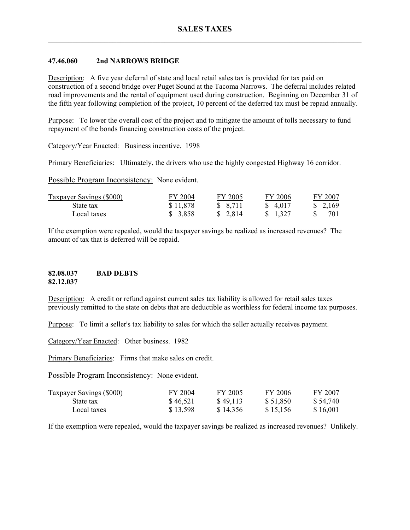#### **47.46.060 2nd NARROWS BRIDGE**

Description: A five year deferral of state and local retail sales tax is provided for tax paid on construction of a second bridge over Puget Sound at the Tacoma Narrows. The deferral includes related road improvements and the rental of equipment used during construction. Beginning on December 31 of the fifth year following completion of the project, 10 percent of the deferred tax must be repaid annually.

Purpose: To lower the overall cost of the project and to mitigate the amount of tolls necessary to fund repayment of the bonds financing construction costs of the project.

Category/Year Enacted: Business incentive. 1998

Primary Beneficiaries: Ultimately, the drivers who use the highly congested Highway 16 corridor.

Possible Program Inconsistency: None evident.

| <b>Taxpayer Savings (\$000)</b> | FY 2004  | FY 2005  | FY 2006           | FY 2007 |
|---------------------------------|----------|----------|-------------------|---------|
| State tax                       | \$11,878 | \$ 8,711 | \$ 4.017          | \$2,169 |
| Local taxes                     | \$ 3,858 | \$2,814  | $\frac{1.327}{ }$ | 701     |

If the exemption were repealed, would the taxpayer savings be realized as increased revenues? The amount of tax that is deferred will be repaid.

#### **82.08.037 BAD DEBTS 82.12.037**

Description: A credit or refund against current sales tax liability is allowed for retail sales taxes previously remitted to the state on debts that are deductible as worthless for federal income tax purposes.

Purpose: To limit a seller's tax liability to sales for which the seller actually receives payment.

Category/Year Enacted: Other business. 1982

Primary Beneficiaries: Firms that make sales on credit.

Possible Program Inconsistency: None evident.

| <b>Taxpayer Savings (\$000)</b> | FY 2004  | FY 2005  | FY 2006  | FY 2007  |
|---------------------------------|----------|----------|----------|----------|
| State tax                       | \$46,521 | \$49,113 | \$51.850 | \$54,740 |
| Local taxes                     | \$13,598 | \$14,356 | \$15,156 | \$16,001 |

If the exemption were repealed, would the taxpayer savings be realized as increased revenues? Unlikely.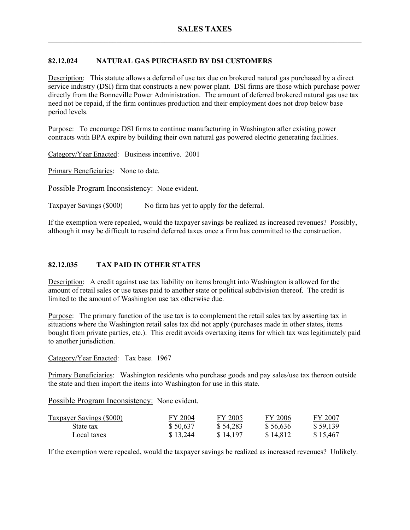## **82.12.024 NATURAL GAS PURCHASED BY DSI CUSTOMERS**

Description: This statute allows a deferral of use tax due on brokered natural gas purchased by a direct service industry (DSI) firm that constructs a new power plant. DSI firms are those which purchase power directly from the Bonneville Power Administration. The amount of deferred brokered natural gas use tax need not be repaid, if the firm continues production and their employment does not drop below base period levels.

Purpose: To encourage DSI firms to continue manufacturing in Washington after existing power contracts with BPA expire by building their own natural gas powered electric generating facilities.

Category/Year Enacted: Business incentive. 2001

Primary Beneficiaries: None to date.

Possible Program Inconsistency: None evident.

Taxpayer Savings (\$000) No firm has yet to apply for the deferral.

If the exemption were repealed, would the taxpayer savings be realized as increased revenues? Possibly, although it may be difficult to rescind deferred taxes once a firm has committed to the construction.

### **82.12.035 TAX PAID IN OTHER STATES**

Description: A credit against use tax liability on items brought into Washington is allowed for the amount of retail sales or use taxes paid to another state or political subdivision thereof. The credit is limited to the amount of Washington use tax otherwise due.

Purpose: The primary function of the use tax is to complement the retail sales tax by asserting tax in situations where the Washington retail sales tax did not apply (purchases made in other states, items bought from private parties, etc.). This credit avoids overtaxing items for which tax was legitimately paid to another jurisdiction.

Category/Year Enacted: Tax base. 1967

Primary Beneficiaries: Washington residents who purchase goods and pay sales/use tax thereon outside the state and then import the items into Washington for use in this state.

Possible Program Inconsistency: None evident.

| <b>Taxpayer Savings (\$000)</b> | FY 2004  | FY 2005  | FY 2006  | FY 2007  |
|---------------------------------|----------|----------|----------|----------|
| State tax                       | \$50,637 | \$54,283 | \$56,636 | \$59,139 |
| Local taxes                     | \$13,244 | \$14,197 | \$14,812 | \$15,467 |

If the exemption were repealed, would the taxpayer savings be realized as increased revenues? Unlikely.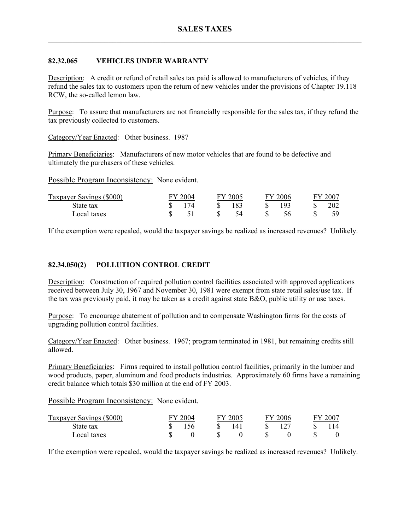### **82.32.065 VEHICLES UNDER WARRANTY**

Description: A credit or refund of retail sales tax paid is allowed to manufacturers of vehicles, if they refund the sales tax to customers upon the return of new vehicles under the provisions of Chapter 19.118 RCW, the so-called lemon law.

Purpose: To assure that manufacturers are not financially responsible for the sales tax, if they refund the tax previously collected to customers.

Category/Year Enacted: Other business. 1987

Primary Beneficiaries: Manufacturers of new motor vehicles that are found to be defective and ultimately the purchasers of these vehicles.

Possible Program Inconsistency: None evident.

| <b>Taxpayer Savings (\$000)</b> | $-2004$ | FY 2005 | ⊷∨∴ | 2006 | 200 |
|---------------------------------|---------|---------|-----|------|-----|
| State tax                       | 174     | 183     |     | 103  | 202 |
| Local taxes                     |         |         |     |      | 59  |

If the exemption were repealed, would the taxpayer savings be realized as increased revenues? Unlikely.

### **82.34.050(2) POLLUTION CONTROL CREDIT**

Description: Construction of required pollution control facilities associated with approved applications received between July 30, 1967 and November 30, 1981 were exempt from state retail sales/use tax. If the tax was previously paid, it may be taken as a credit against state B&O, public utility or use taxes.

Purpose: To encourage abatement of pollution and to compensate Washington firms for the costs of upgrading pollution control facilities.

Category/Year Enacted: Other business. 1967; program terminated in 1981, but remaining credits still allowed.

Primary Beneficiaries: Firms required to install pollution control facilities, primarily in the lumber and wood products, paper, aluminum and food products industries. Approximately 60 firms have a remaining credit balance which totals \$30 million at the end of FY 2003.

Possible Program Inconsistency: None evident.

| Taxpayer Savings (\$000) | FY 2004 | FY 2005 | 'Y 2006- | FY 2007 |
|--------------------------|---------|---------|----------|---------|
| State tax                | 156     | 141     |          |         |
| Local taxes              |         |         |          |         |

If the exemption were repealed, would the taxpayer savings be realized as increased revenues? Unlikely.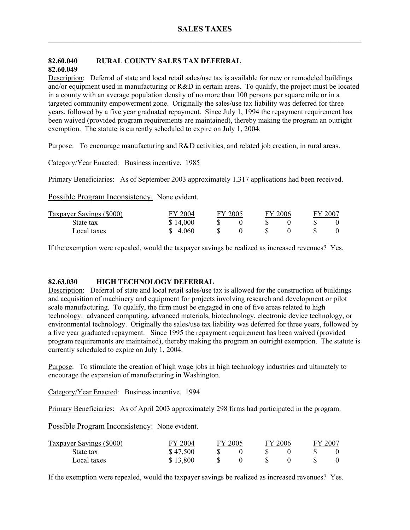### **82.60.040 RURAL COUNTY SALES TAX DEFERRAL 82.60.049**

Description: Deferral of state and local retail sales/use tax is available for new or remodeled buildings and/or equipment used in manufacturing or R&D in certain areas. To qualify, the project must be located in a county with an average population density of no more than 100 persons per square mile or in a targeted community empowerment zone. Originally the sales/use tax liability was deferred for three years, followed by a five year graduated repayment. Since July 1, 1994 the repayment requirement has been waived (provided program requirements are maintained), thereby making the program an outright exemption. The statute is currently scheduled to expire on July 1, 2004.

Purpose: To encourage manufacturing and R&D activities, and related job creation, in rural areas.

Category/Year Enacted: Business incentive. 1985

Primary Beneficiaries: As of September 2003 approximately 1,317 applications had been received.

Possible Program Inconsistency: None evident.

| Taxpayer Savings (\$000) | FY 2004<br>FY 2005 |  |  |  | FY 2006 | FY 2007 |  |  |
|--------------------------|--------------------|--|--|--|---------|---------|--|--|
| State tax                | \$14,000           |  |  |  |         |         |  |  |
| Local taxes              | \$ 4.060           |  |  |  |         |         |  |  |

If the exemption were repealed, would the taxpayer savings be realized as increased revenues? Yes.

#### **82.63.030 HIGH TECHNOLOGY DEFERRAL**

Description: Deferral of state and local retail sales/use tax is allowed for the construction of buildings and acquisition of machinery and equipment for projects involving research and development or pilot scale manufacturing. To qualify, the firm must be engaged in one of five areas related to high technology: advanced computing, advanced materials, biotechnology, electronic device technology, or environmental technology. Originally the sales/use tax liability was deferred for three years, followed by a five year graduated repayment. Since 1995 the repayment requirement has been waived (provided program requirements are maintained), thereby making the program an outright exemption. The statute is currently scheduled to expire on July 1, 2004.

Purpose: To stimulate the creation of high wage jobs in high technology industries and ultimately to encourage the expansion of manufacturing in Washington.

Category/Year Enacted: Business incentive. 1994

Primary Beneficiaries: As of April 2003 approximately 298 firms had participated in the program.

Possible Program Inconsistency: None evident.

| Taxpayer Savings (\$000) | FY 2004  | FY 2005 |  | FY 2006 | FY 2007 |  |
|--------------------------|----------|---------|--|---------|---------|--|
| State tax                | \$47,500 |         |  |         |         |  |
| Local taxes              | \$13,800 |         |  |         |         |  |

If the exemption were repealed, would the taxpayer savings be realized as increased revenues? Yes.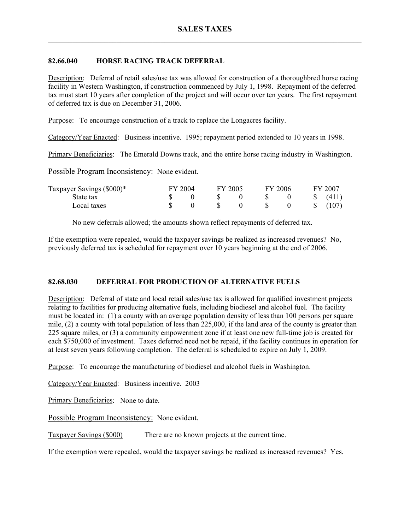#### **82.66.040 HORSE RACING TRACK DEFERRAL**

Description: Deferral of retail sales/use tax was allowed for construction of a thoroughbred horse racing facility in Western Washington, if construction commenced by July 1, 1998. Repayment of the deferred tax must start 10 years after completion of the project and will occur over ten years. The first repayment of deferred tax is due on December 31, 2006.

Purpose: To encourage construction of a track to replace the Longacres facility.

Category/Year Enacted: Business incentive. 1995; repayment period extended to 10 years in 1998.

Primary Beneficiaries: The Emerald Downs track, and the entire horse racing industry in Washington.

Possible Program Inconsistency: None evident.

| Taxpayer Savings (\$000)* | FY 2004 |  | FY 2005 |  | FY 2006 |  | FY 2007      |       |
|---------------------------|---------|--|---------|--|---------|--|--------------|-------|
| State tax                 |         |  |         |  |         |  | S            | (411) |
| Local taxes               |         |  |         |  |         |  | $\mathbb{S}$ | (107) |

No new deferrals allowed; the amounts shown reflect repayments of deferred tax.

If the exemption were repealed, would the taxpayer savings be realized as increased revenues? No, previously deferred tax is scheduled for repayment over 10 years beginning at the end of 2006.

## **82.68.030 DEFERRAL FOR PRODUCTION OF ALTERNATIVE FUELS**

Description: Deferral of state and local retail sales/use tax is allowed for qualified investment projects relating to facilities for producing alternative fuels, including biodiesel and alcohol fuel. The facility must be located in: (1) a county with an average population density of less than 100 persons per square mile, (2) a county with total population of less than 225,000, if the land area of the county is greater than 225 square miles, or (3) a community empowerment zone if at least one new full-time job is created for each \$750,000 of investment. Taxes deferred need not be repaid, if the facility continues in operation for at least seven years following completion. The deferral is scheduled to expire on July 1, 2009.

Purpose: To encourage the manufacturing of biodiesel and alcohol fuels in Washington.

Category/Year Enacted: Business incentive. 2003

Primary Beneficiaries: None to date.

Possible Program Inconsistency: None evident.

Taxpayer Savings (\$000) There are no known projects at the current time.

If the exemption were repealed, would the taxpayer savings be realized as increased revenues? Yes.